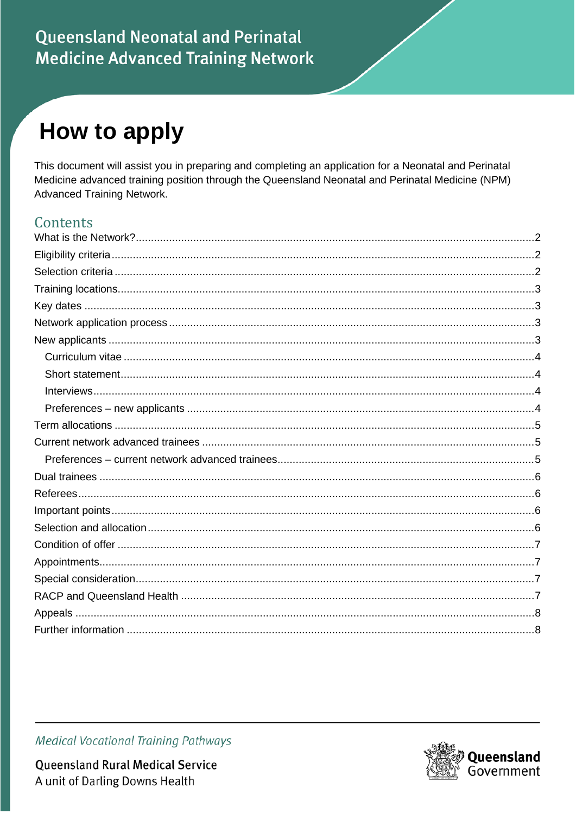# How to apply

This document will assist you in preparing and completing an application for a Neonatal and Perinatal Medicine advanced training position through the Queensland Neonatal and Perinatal Medicine (NPM) **Advanced Training Network.** 

#### Contents



**Queensland Rural Medical Service** A unit of Darling Downs Health

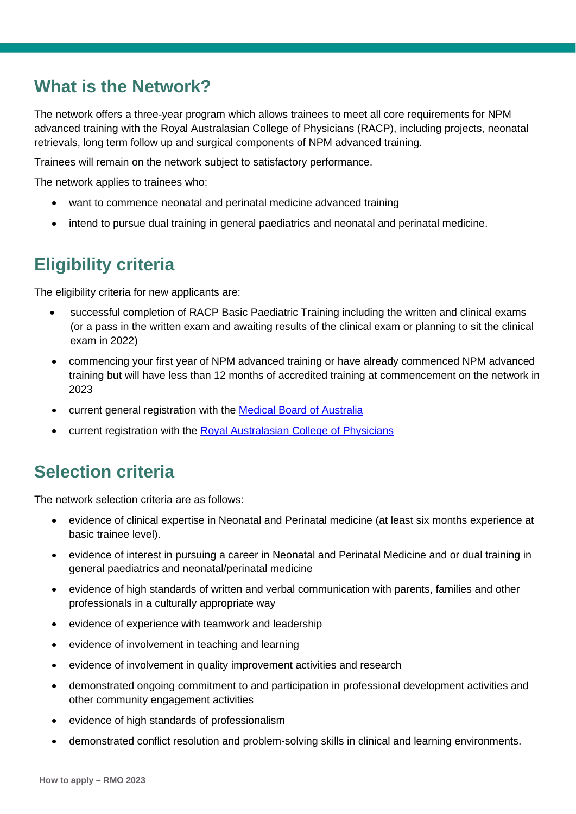#### <span id="page-1-0"></span>**What is the Network?**

The network offers a three-year program which allows trainees to meet all core requirements for NPM advanced training with the Royal Australasian College of Physicians (RACP), including projects, neonatal retrievals, long term follow up and surgical components of NPM advanced training.

Trainees will remain on the network subject to satisfactory performance.

The network applies to trainees who:

- want to commence neonatal and perinatal medicine advanced training
- intend to pursue dual training in general paediatrics and neonatal and perinatal medicine.

#### <span id="page-1-1"></span>**Eligibility criteria**

The eligibility criteria for new applicants are:

- successful completion of RACP Basic Paediatric Training including the written and clinical exams (or a pass in the written exam and awaiting results of the clinical exam or planning to sit the clinical exam in 2022)
- commencing your first year of NPM advanced training or have already commenced NPM advanced training but will have less than 12 months of accredited training at commencement on the network in 2023
- current general registration with the [Medical Board of Australia](https://www.medicalboard.gov.au/)
- <span id="page-1-2"></span>• current registration with the [Royal Australasian College of Physicians](https://www.racp.edu.au/home)

#### **Selection criteria**

The network selection criteria are as follows:

- evidence of clinical expertise in Neonatal and Perinatal medicine (at least six months experience at basic trainee level).
- evidence of interest in pursuing a career in Neonatal and Perinatal Medicine and or dual training in general paediatrics and neonatal/perinatal medicine
- evidence of high standards of written and verbal communication with parents, families and other professionals in a culturally appropriate way
- evidence of experience with teamwork and leadership
- evidence of involvement in teaching and learning
- evidence of involvement in quality improvement activities and research
- demonstrated ongoing commitment to and participation in professional development activities and other community engagement activities
- evidence of high standards of professionalism
- demonstrated conflict resolution and problem-solving skills in clinical and learning environments.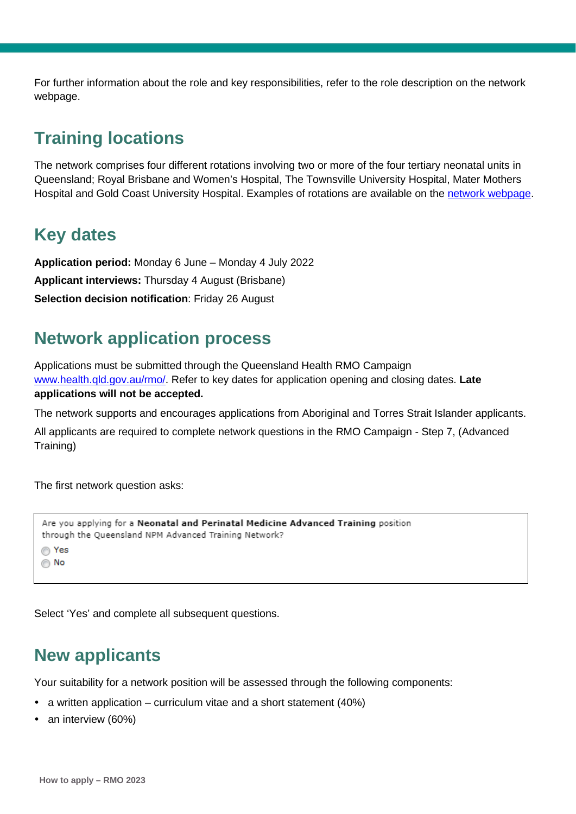For further information about the role and key responsibilities, refer to the role description on the network webpage.

#### <span id="page-2-0"></span>**Training locations**

The network comprises four different rotations involving two or more of the four tertiary neonatal units in Queensland; Royal Brisbane and Women's Hospital, The Townsville University Hospital, Mater Mothers Hospital and Gold Coast University Hospital. Examples of rotations are available on the [network webpage.](https://www.health.qld.gov.au/employment/work-for-us/clinical/medical/recruitment/training/advanced-paediatric)

## <span id="page-2-1"></span>**Key dates**

**Application period:** Monday 6 June – Monday 4 July 2022 **Applicant interviews:** Thursday 4 August (Brisbane) **Selection decision notification**: Friday 26 August

### <span id="page-2-2"></span>**Network application process**

Applications must be submitted through the Queensland Health RMO Campaign [www.health.qld.gov.au/rmo/.](http://www.health.qld.gov.au/rmo/) Refer to key dates for application opening and closing dates. **Late applications will not be accepted.**

The network supports and encourages applications from Aboriginal and Torres Strait Islander applicants.

All applicants are required to complete network questions in the RMO Campaign - Step 7, (Advanced Training)

The first network question asks:

```
Are you applying for a Neonatal and Perinatal Medicine Advanced Training position
through the Queensland NPM Advanced Training Network?
◯ Yes
\odot No
```
Select 'Yes' and complete all subsequent questions.

#### <span id="page-2-3"></span>**New applicants**

Your suitability for a network position will be assessed through the following components:

- a written application curriculum vitae and a short statement (40%)
- an interview (60%)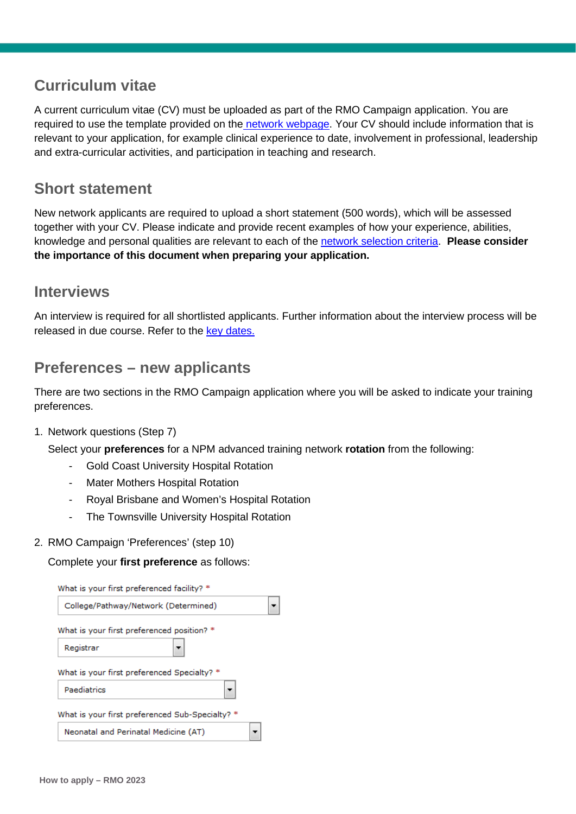#### <span id="page-3-0"></span>**Curriculum vitae**

A current curriculum vitae (CV) must be uploaded as part of the RMO Campaign application. You are required to use the template provided on the [network webpage.](https://www.health.qld.gov.au/employment/work-for-us/clinical/medical/recruitment/training/advanced-neonatal) Your CV should include information that is relevant to your application, for example clinical experience to date, involvement in professional, leadership and extra-curricular activities, and participation in teaching and research.

#### <span id="page-3-1"></span>**Short statement**

New network applicants are required to upload a short statement (500 words), which will be assessed together with your CV. Please indicate and provide recent examples of how your experience, abilities, knowledge and personal qualities are relevant to each of the [network selection criteria.](#page-1-2) **Please consider the importance of this document when preparing your application.**

#### <span id="page-3-2"></span>**Interviews**

An interview is required for all shortlisted applicants. Further information about the interview process will be released in due course. Refer to the key dates.

#### <span id="page-3-3"></span>**Preferences – new applicants**

There are two sections in the RMO Campaign application where you will be asked to indicate your training preferences.

1. Network questions (Step 7)

Select your **preferences** for a NPM advanced training network **rotation** from the following:

- Gold Coast University Hospital Rotation
- Mater Mothers Hospital Rotation
- Royal Brisbane and Women's Hospital Rotation
- The Townsville University Hospital Rotation
- 2. RMO Campaign 'Preferences' (step 10)

#### Complete your **first preference** as follows:

| What is your first preferenced facility? *              |  |
|---------------------------------------------------------|--|
| College/Pathway/Network (Determined)                    |  |
| What is your first preferenced position? *<br>Registrar |  |
| What is your first preferenced Specialty? *             |  |
| Paediatrics                                             |  |
| What is your first preferenced Sub-Specialty? *         |  |
| Neonatal and Perinatal Medicine (AT)                    |  |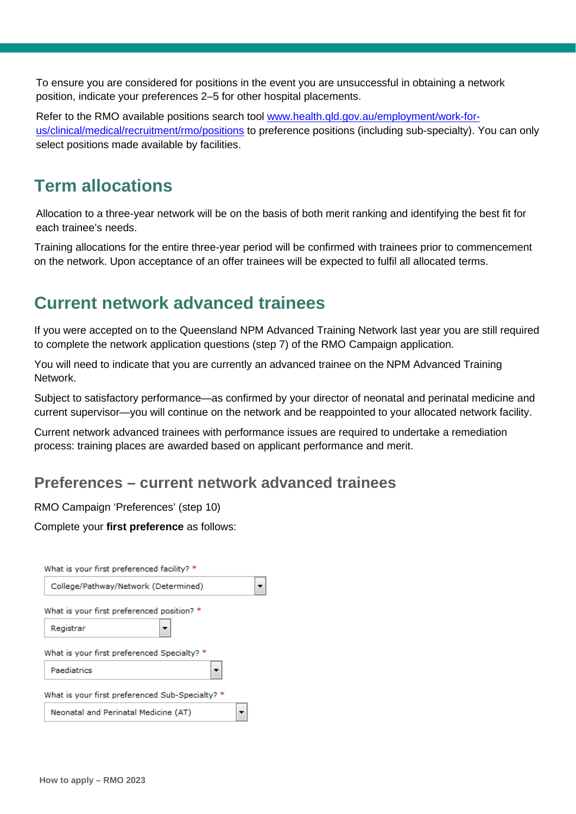To ensure you are considered for positions in the event you are unsuccessful in obtaining a network position, indicate your preferences 2–5 for other hospital placements.

Refer to the RMO available positions search tool [www.health.qld.gov.au/employment/work-for](http://www.health.qld.gov.au/employment/work-for-us/clinical/medical/recruitment/rmo/positions)[us/clinical/medical/recruitment/rmo/positions](http://www.health.qld.gov.au/employment/work-for-us/clinical/medical/recruitment/rmo/positions) to preference positions (including sub-specialty). You can only select positions made available by facilities.

#### <span id="page-4-0"></span>**Term allocations**

Allocation to a three-year network will be on the basis of both merit ranking and identifying the best fit for each trainee's needs.

Training allocations for the entire three-year period will be confirmed with trainees prior to commencement on the network. Upon acceptance of an offer trainees will be expected to fulfil all allocated terms.

#### <span id="page-4-1"></span>**Current network advanced trainees**

If you were accepted on to the Queensland NPM Advanced Training Network last year you are still required to complete the network application questions (step 7) of the RMO Campaign application.

You will need to indicate that you are currently an advanced trainee on the NPM Advanced Training Network.

Subject to satisfactory performance—as confirmed by your director of neonatal and perinatal medicine and current supervisor—you will continue on the network and be reappointed to your allocated network facility.

Current network advanced trainees with performance issues are required to undertake a remediation process: training places are awarded based on applicant performance and merit.

#### <span id="page-4-2"></span>**Preferences – current network advanced trainees**

RMO Campaign 'Preferences' (step 10)

Complete your **first preference** as follows:

| College/Pathway/Network (Determined)<br>What is your first preferenced position? *<br>Registrar |
|-------------------------------------------------------------------------------------------------|
|                                                                                                 |
|                                                                                                 |
|                                                                                                 |
| What is your first preferenced Specialty? *                                                     |
| Paediatrics                                                                                     |
| What is your first preferenced Sub-Specialty? *                                                 |
| Neonatal and Perinatal Medicine (AT)                                                            |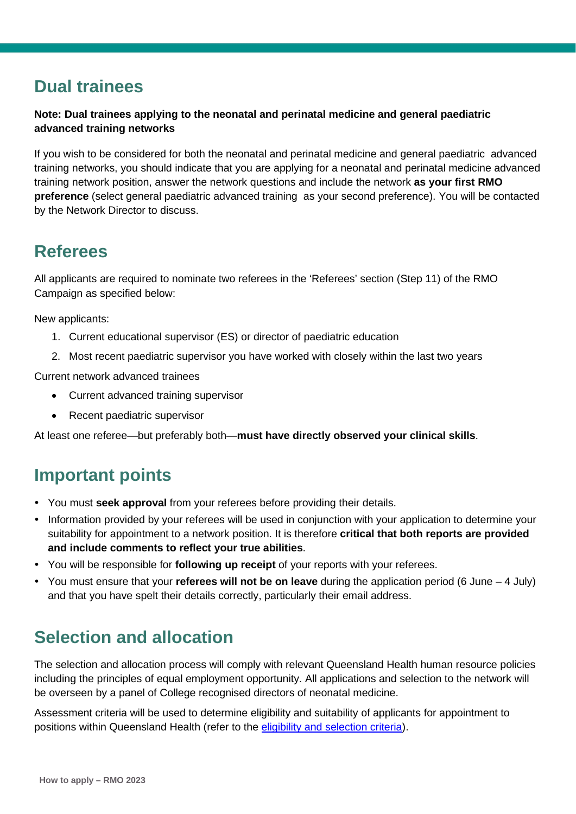### <span id="page-5-0"></span>**Dual trainees**

#### **Note: Dual trainees applying to the neonatal and perinatal medicine and general paediatric advanced training networks**

If you wish to be considered for both the neonatal and perinatal medicine and general paediatric advanced training networks, you should indicate that you are applying for a neonatal and perinatal medicine advanced training network position, answer the network questions and include the network **as your first RMO preference** (select general paediatric advanced training as your second preference). You will be contacted by the Network Director to discuss.

#### <span id="page-5-1"></span>**Referees**

All applicants are required to nominate two referees in the 'Referees' section (Step 11) of the RMO Campaign as specified below:

New applicants:

- 1. Current educational supervisor (ES) or director of paediatric education
- 2. Most recent paediatric supervisor you have worked with closely within the last two years

Current network advanced trainees

- Current advanced training supervisor
- Recent paediatric supervisor

<span id="page-5-2"></span>At least one referee—but preferably both—**must have directly observed your clinical skills**.

### **Important points**

- You must **seek approval** from your referees before providing their details.
- Information provided by your referees will be used in conjunction with your application to determine your suitability for appointment to a network position. It is therefore **critical that both reports are provided and include comments to reflect your true abilities**.
- You will be responsible for **following up receipt** of your reports with your referees.
- You must ensure that your **referees will not be on leave** during the application period (6 June 4 July) and that you have spelt their details correctly, particularly their email address.

### <span id="page-5-3"></span>**Selection and allocation**

The selection and allocation process will comply with relevant Queensland Health human resource policies including the principles of equal employment opportunity. All applications and selection to the network will be overseen by a panel of College recognised directors of neonatal medicine.

Assessment criteria will be used to determine eligibility and suitability of applicants for appointment to positions within Queensland Health (refer to the [eligibility and selection criteria\)](#page-1-1).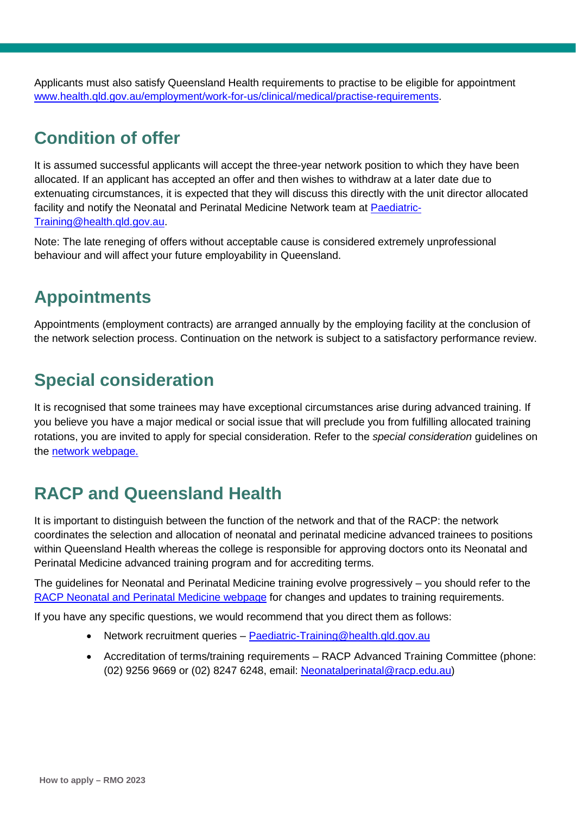Applicants must also satisfy Queensland Health requirements to practise to be eligible for appointment [www.health.qld.gov.au/employment/work-for-us/clinical/medical/practise-requirements.](http://www.health.qld.gov.au/employment/work-for-us/clinical/medical/practise-requirements)

#### <span id="page-6-0"></span>**Condition of offer**

It is assumed successful applicants will accept the three-year network position to which they have been allocated. If an applicant has accepted an offer and then wishes to withdraw at a later date due to extenuating circumstances, it is expected that they will discuss this directly with the unit director allocated facility and notify the Neonatal and Perinatal Medicine Network team at [Paediatric-](mailto:Paediatric-Training@health.qld.gov.au)[Training@health.qld.gov.au.](mailto:Paediatric-Training@health.qld.gov.au)

Note: The late reneging of offers without acceptable cause is considered extremely unprofessional behaviour and will affect your future employability in Queensland.

#### <span id="page-6-1"></span>**Appointments**

Appointments (employment contracts) are arranged annually by the employing facility at the conclusion of the network selection process. Continuation on the network is subject to a satisfactory performance review.

## <span id="page-6-2"></span>**Special consideration**

It is recognised that some trainees may have exceptional circumstances arise during advanced training. If you believe you have a major medical or social issue that will preclude you from fulfilling allocated training rotations, you are invited to apply for special consideration. Refer to the *special consideration* guidelines on the [network webpage.](https://www.health.qld.gov.au/employment/work-for-us/clinical/medical/recruitment/training/advanced-neonatal)

### <span id="page-6-3"></span>**RACP and Queensland Health**

It is important to distinguish between the function of the network and that of the RACP: the network coordinates the selection and allocation of neonatal and perinatal medicine advanced trainees to positions within Queensland Health whereas the college is responsible for approving doctors onto its Neonatal and Perinatal Medicine advanced training program and for accrediting terms.

The guidelines for Neonatal and Perinatal Medicine training evolve progressively – you should refer to the [RACP Neonatal and Perinatal Medicine webpage](https://www.racp.edu.au/trainees/advanced-training/advanced-training-programs/neonatal-perinatal-medicine) for changes and updates to training requirements.

If you have any specific questions, we would recommend that you direct them as follows:

- Network recruitment queries [Paediatric-Training@health.qld.gov.au](mailto:Paediatric-Training@health.qld.gov.au)
- Accreditation of terms/training requirements RACP Advanced Training Committee (phone: (02) 9256 9669 or (02) 8247 6248, email: [Neonatalperinatal@racp.edu.au\)](mailto:Neonatalperinatal@racp.edu.au)